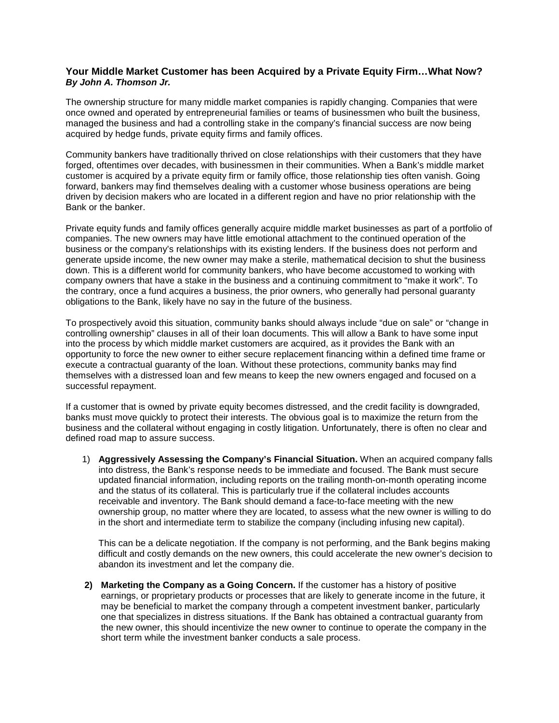## **Your Middle Market Customer has been Acquired by a Private Equity Firm…What Now?** *By John A. Thomson Jr.*

The ownership structure for many middle market companies is rapidly changing. Companies that were once owned and operated by entrepreneurial families or teams of businessmen who built the business, managed the business and had a controlling stake in the company's financial success are now being acquired by hedge funds, private equity firms and family offices.

Community bankers have traditionally thrived on close relationships with their customers that they have forged, oftentimes over decades, with businessmen in their communities. When a Bank's middle market customer is acquired by a private equity firm or family office, those relationship ties often vanish. Going forward, bankers may find themselves dealing with a customer whose business operations are being driven by decision makers who are located in a different region and have no prior relationship with the Bank or the banker.

Private equity funds and family offices generally acquire middle market businesses as part of a portfolio of companies. The new owners may have little emotional attachment to the continued operation of the business or the company's relationships with its existing lenders. If the business does not perform and generate upside income, the new owner may make a sterile, mathematical decision to shut the business down. This is a different world for community bankers, who have become accustomed to working with company owners that have a stake in the business and a continuing commitment to "make it work". To the contrary, once a fund acquires a business, the prior owners, who generally had personal guaranty obligations to the Bank, likely have no say in the future of the business.

To prospectively avoid this situation, community banks should always include "due on sale" or "change in controlling ownership" clauses in all of their loan documents. This will allow a Bank to have some input into the process by which middle market customers are acquired, as it provides the Bank with an opportunity to force the new owner to either secure replacement financing within a defined time frame or execute a contractual guaranty of the loan. Without these protections, community banks may find themselves with a distressed loan and few means to keep the new owners engaged and focused on a successful repayment.

If a customer that is owned by private equity becomes distressed, and the credit facility is downgraded, banks must move quickly to protect their interests. The obvious goal is to maximize the return from the business and the collateral without engaging in costly litigation. Unfortunately, there is often no clear and defined road map to assure success.

1) **Aggressively Assessing the Company's Financial Situation.** When an acquired company falls into distress, the Bank's response needs to be immediate and focused. The Bank must secure updated financial information, including reports on the trailing month-on-month operating income and the status of its collateral. This is particularly true if the collateral includes accounts receivable and inventory. The Bank should demand a face-to-face meeting with the new ownership group, no matter where they are located, to assess what the new owner is willing to do in the short and intermediate term to stabilize the company (including infusing new capital).

This can be a delicate negotiation. If the company is not performing, and the Bank begins making difficult and costly demands on the new owners, this could accelerate the new owner's decision to abandon its investment and let the company die.

**2) Marketing the Company as a Going Concern.** If the customer has a history of positive earnings, or proprietary products or processes that are likely to generate income in the future, it may be beneficial to market the company through a competent investment banker, particularly one that specializes in distress situations. If the Bank has obtained a contractual guaranty from the new owner, this should incentivize the new owner to continue to operate the company in the short term while the investment banker conducts a sale process.